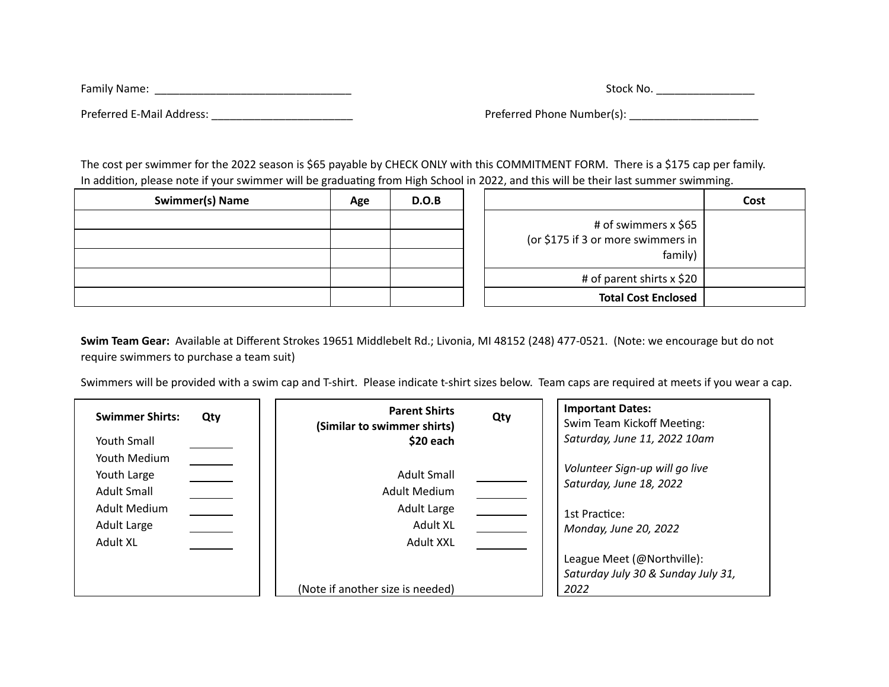| Family Name:              | Stock No.                  |  |  |
|---------------------------|----------------------------|--|--|
| Preferred E-Mail Address: | Preferred Phone Number(s): |  |  |

The cost per swimmer for the 2022 season is \$65 payable by CHECK ONLY with this COMMITMENT FORM. There is a \$175 cap per family. In addition, please note if your swimmer will be graduating from High School in 2022, and this will be their last summer swimming.

| Cost |                                    | D.O.B | Age | Swimmer(s) Name |
|------|------------------------------------|-------|-----|-----------------|
|      | # of swimmers x \$65               |       |     |                 |
|      | (or \$175 if 3 or more swimmers in |       |     |                 |
|      | family)                            |       |     |                 |
|      | # of parent shirts $x$ \$20        |       |     |                 |
|      | <b>Total Cost Enclosed</b>         |       |     |                 |

|                                                                       | Cost |
|-----------------------------------------------------------------------|------|
| # of swimmers x \$65<br>(or \$175 if 3 or more swimmers in<br>family) |      |
| # of parent shirts x \$20                                             |      |
| <b>Total Cost Enclosed</b>                                            |      |

**Swim Team Gear:** Available at Different Strokes 19651 Middlebelt Rd.; Livonia, MI 48152 (248) 477-0521. (Note: we encourage but do not require swimmers to purchase a team suit)

Swimmers will be provided with a swim cap and T-shirt. Please indicate t-shirt sizes below. Team caps are required at meets if you wear a cap.

| <b>Swimmer Shirts:</b>                                                                       | <b>Parent Shirts</b>                                                                                    | Qty | <b>Important Dates:</b>                                                                                                                                                         |
|----------------------------------------------------------------------------------------------|---------------------------------------------------------------------------------------------------------|-----|---------------------------------------------------------------------------------------------------------------------------------------------------------------------------------|
| Qty                                                                                          | (Similar to swimmer shirts)                                                                             |     | Swim Team Kickoff Meeting:                                                                                                                                                      |
| Youth Small                                                                                  | \$20 each                                                                                               |     | Saturday, June 11, 2022 10am                                                                                                                                                    |
| Youth Medium<br>Youth Large<br><b>Adult Small</b><br>Adult Medium<br>Adult Large<br>Adult XL | Adult Small<br>Adult Medium<br>Adult Large<br>Adult XL<br>Adult XXL<br>(Note if another size is needed) |     | Volunteer Sign-up will go live<br>Saturday, June 18, 2022<br>1st Practice:<br>Monday, June 20, 2022<br>League Meet (@Northville):<br>Saturday July 30 & Sunday July 31,<br>2022 |